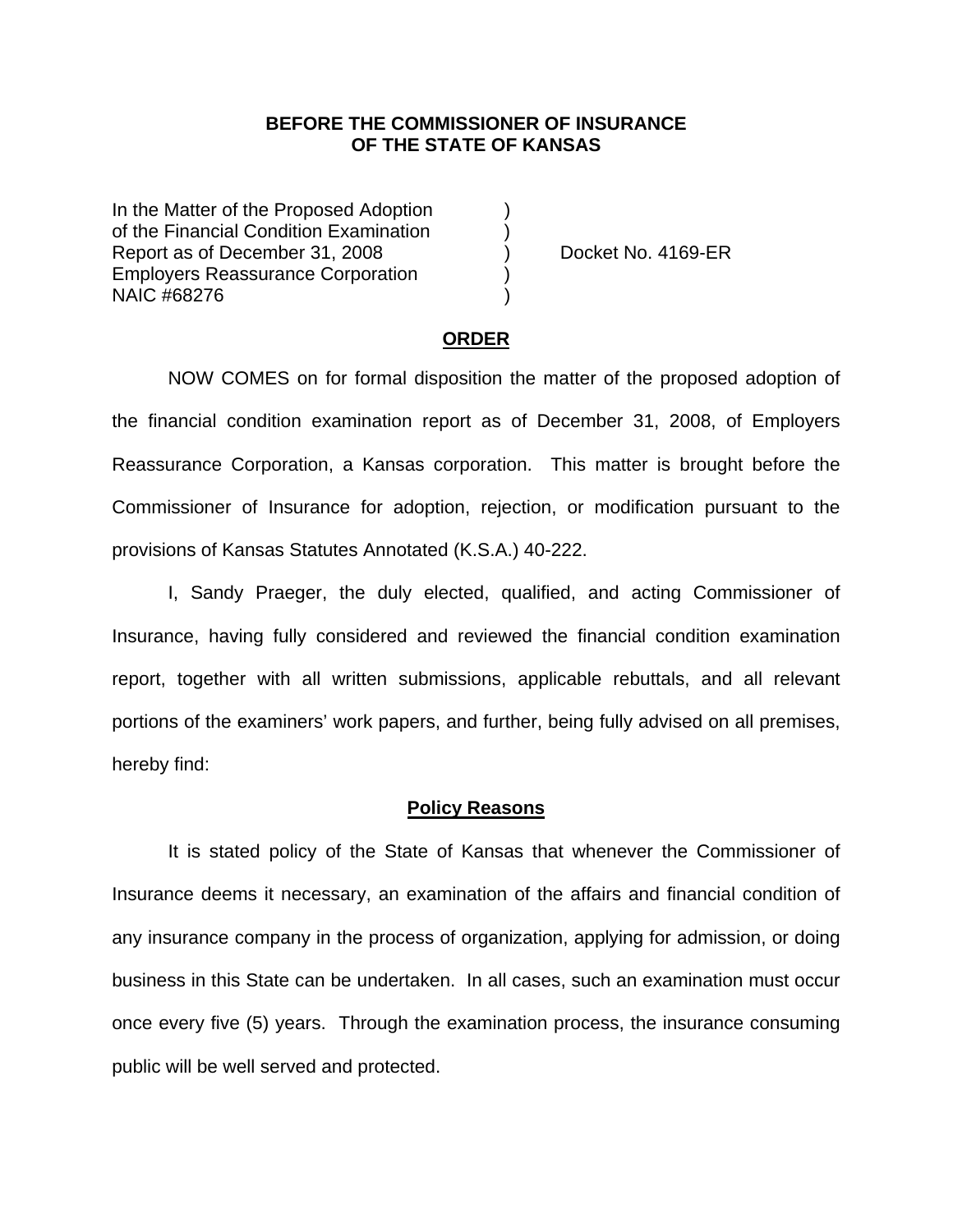## **BEFORE THE COMMISSIONER OF INSURANCE OF THE STATE OF KANSAS**

In the Matter of the Proposed Adoption of the Financial Condition Examination ) Report as of December 31, 2008 ) Docket No. 4169-ER Employers Reassurance Corporation ) NAIC #68276 )

#### **ORDER**

 NOW COMES on for formal disposition the matter of the proposed adoption of the financial condition examination report as of December 31, 2008, of Employers Reassurance Corporation, a Kansas corporation. This matter is brought before the Commissioner of Insurance for adoption, rejection, or modification pursuant to the provisions of Kansas Statutes Annotated (K.S.A.) 40-222.

 I, Sandy Praeger, the duly elected, qualified, and acting Commissioner of Insurance, having fully considered and reviewed the financial condition examination report, together with all written submissions, applicable rebuttals, and all relevant portions of the examiners' work papers, and further, being fully advised on all premises, hereby find:

#### **Policy Reasons**

 It is stated policy of the State of Kansas that whenever the Commissioner of Insurance deems it necessary, an examination of the affairs and financial condition of any insurance company in the process of organization, applying for admission, or doing business in this State can be undertaken. In all cases, such an examination must occur once every five (5) years. Through the examination process, the insurance consuming public will be well served and protected.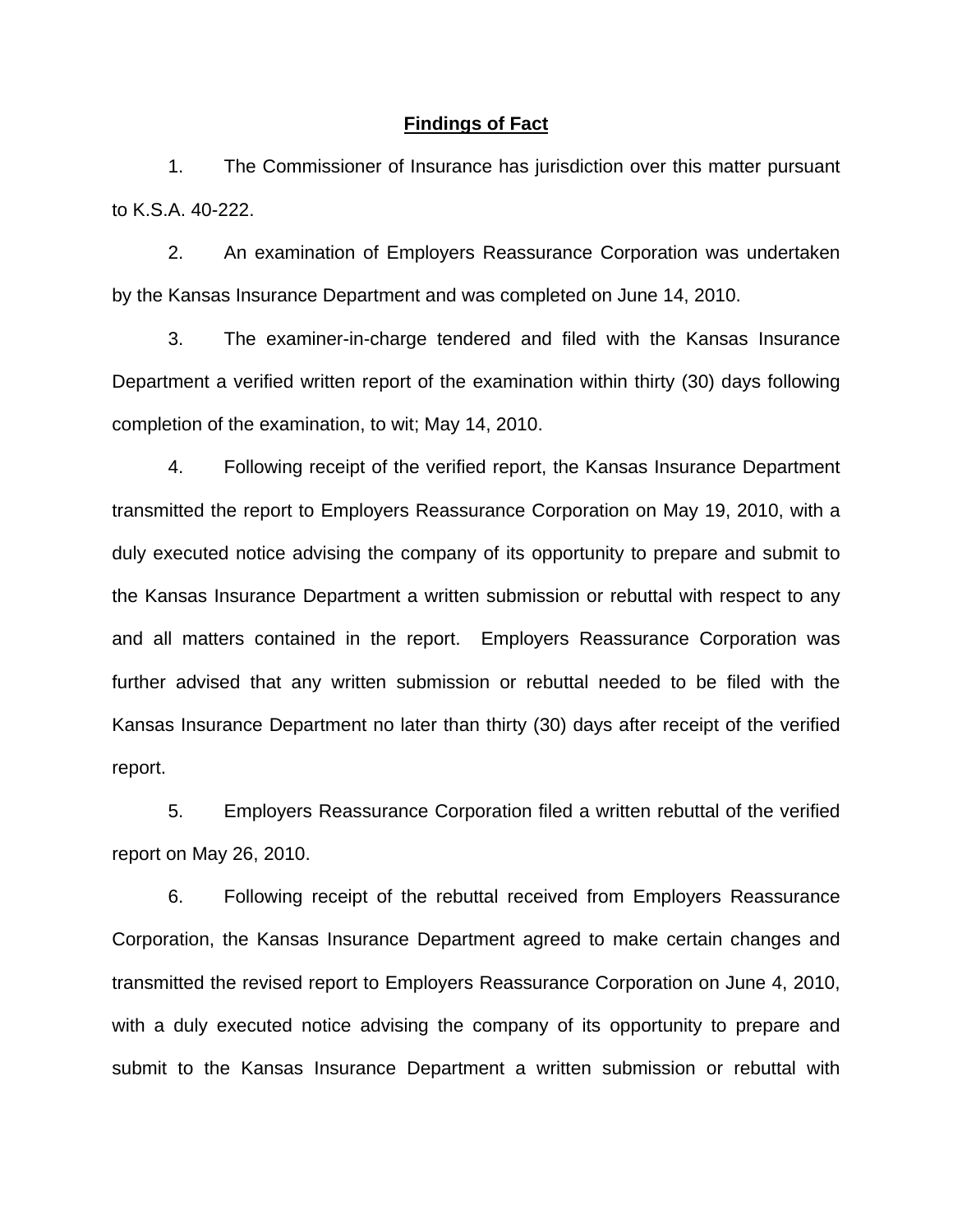### **Findings of Fact**

 1. The Commissioner of Insurance has jurisdiction over this matter pursuant to K.S.A. 40-222.

 2. An examination of Employers Reassurance Corporation was undertaken by the Kansas Insurance Department and was completed on June 14, 2010.

 3. The examiner-in-charge tendered and filed with the Kansas Insurance Department a verified written report of the examination within thirty (30) days following completion of the examination, to wit; May 14, 2010.

 4. Following receipt of the verified report, the Kansas Insurance Department transmitted the report to Employers Reassurance Corporation on May 19, 2010, with a duly executed notice advising the company of its opportunity to prepare and submit to the Kansas Insurance Department a written submission or rebuttal with respect to any and all matters contained in the report. Employers Reassurance Corporation was further advised that any written submission or rebuttal needed to be filed with the Kansas Insurance Department no later than thirty (30) days after receipt of the verified report.

 5. Employers Reassurance Corporation filed a written rebuttal of the verified report on May 26, 2010.

 6. Following receipt of the rebuttal received from Employers Reassurance Corporation, the Kansas Insurance Department agreed to make certain changes and transmitted the revised report to Employers Reassurance Corporation on June 4, 2010, with a duly executed notice advising the company of its opportunity to prepare and submit to the Kansas Insurance Department a written submission or rebuttal with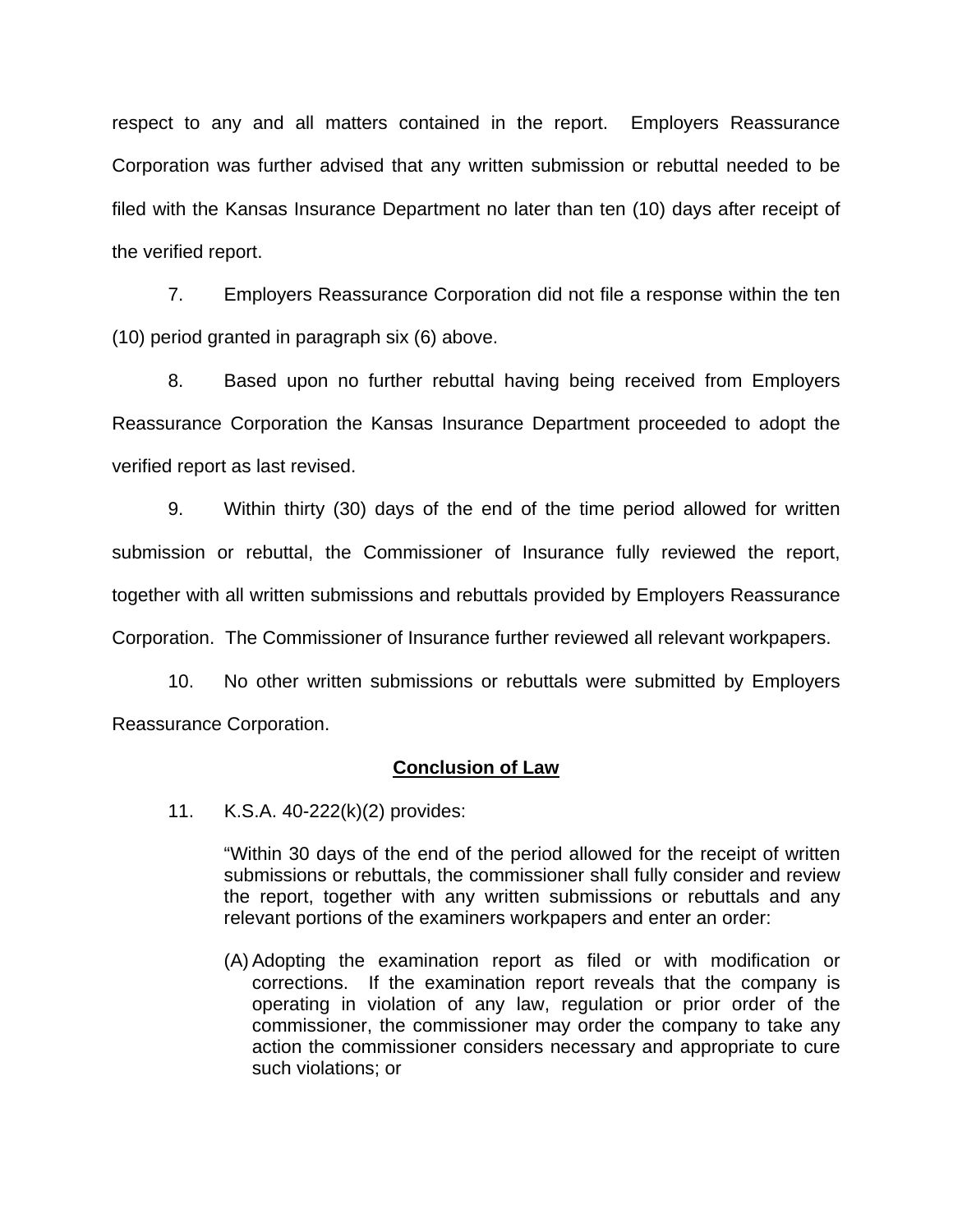respect to any and all matters contained in the report. Employers Reassurance Corporation was further advised that any written submission or rebuttal needed to be filed with the Kansas Insurance Department no later than ten (10) days after receipt of the verified report.

 7. Employers Reassurance Corporation did not file a response within the ten (10) period granted in paragraph six (6) above.

8. Based upon no further rebuttal having being received from Employers Reassurance Corporation the Kansas Insurance Department proceeded to adopt the verified report as last revised.

 9. Within thirty (30) days of the end of the time period allowed for written submission or rebuttal, the Commissioner of Insurance fully reviewed the report, together with all written submissions and rebuttals provided by Employers Reassurance Corporation. The Commissioner of Insurance further reviewed all relevant workpapers.

 10. No other written submissions or rebuttals were submitted by Employers Reassurance Corporation.

## **Conclusion of Law**

11. K.S.A. 40-222(k)(2) provides:

"Within 30 days of the end of the period allowed for the receipt of written submissions or rebuttals, the commissioner shall fully consider and review the report, together with any written submissions or rebuttals and any relevant portions of the examiners workpapers and enter an order:

(A) Adopting the examination report as filed or with modification or corrections. If the examination report reveals that the company is operating in violation of any law, regulation or prior order of the commissioner, the commissioner may order the company to take any action the commissioner considers necessary and appropriate to cure such violations; or